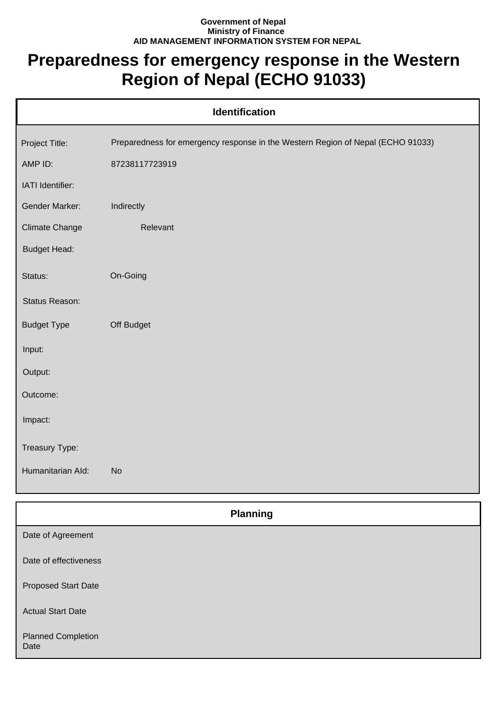## **Government of Nepal Ministry of Finance AID MANAGEMENT INFORMATION SYSTEM FOR NEPAL**

## **Preparedness for emergency response in the Western Region of Nepal (ECHO 91033)**

| <b>Identification</b> |                                                                                 |  |
|-----------------------|---------------------------------------------------------------------------------|--|
| Project Title:        | Preparedness for emergency response in the Western Region of Nepal (ECHO 91033) |  |
| AMP ID:               | 87238117723919                                                                  |  |
| IATI Identifier:      |                                                                                 |  |
| Gender Marker:        | Indirectly                                                                      |  |
| <b>Climate Change</b> | Relevant                                                                        |  |
| <b>Budget Head:</b>   |                                                                                 |  |
| Status:               | On-Going                                                                        |  |
| Status Reason:        |                                                                                 |  |
| <b>Budget Type</b>    | Off Budget                                                                      |  |
| Input:                |                                                                                 |  |
| Output:               |                                                                                 |  |
| Outcome:              |                                                                                 |  |
| Impact:               |                                                                                 |  |
| Treasury Type:        |                                                                                 |  |
| Humanitarian Ald:     | <b>No</b>                                                                       |  |
|                       |                                                                                 |  |
|                       | <b>Planning</b>                                                                 |  |

| Date of Agreement                 |  |
|-----------------------------------|--|
| Date of effectiveness             |  |
| <b>Proposed Start Date</b>        |  |
| <b>Actual Start Date</b>          |  |
| <b>Planned Completion</b><br>Date |  |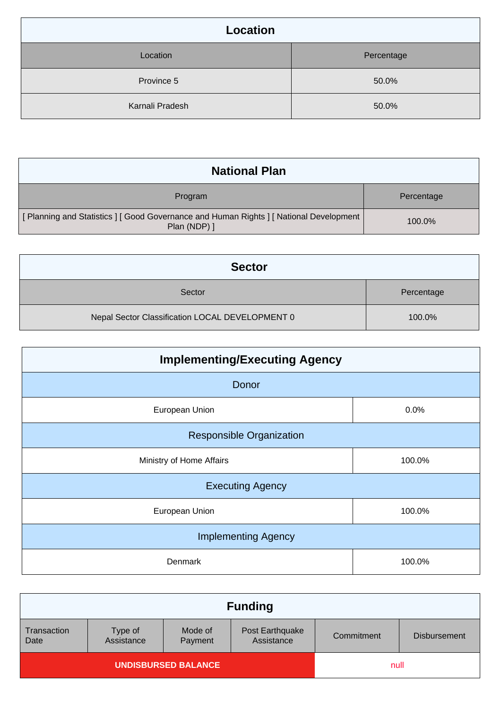| <b>Location</b> |            |
|-----------------|------------|
| Location        | Percentage |
| Province 5      | 50.0%      |
| Karnali Pradesh | 50.0%      |

| <b>National Plan</b>                                                                                      |            |
|-----------------------------------------------------------------------------------------------------------|------------|
| Program                                                                                                   | Percentage |
| [ Planning and Statistics ] [ Good Governance and Human Rights ] [ National Development ]<br>Plan (NDP) ] | 100.0%     |

| <b>Sector</b>                                   |            |
|-------------------------------------------------|------------|
| Sector                                          | Percentage |
| Nepal Sector Classification LOCAL DEVELOPMENT 0 | 100.0%     |

| <b>Implementing/Executing Agency</b> |        |  |
|--------------------------------------|--------|--|
| Donor                                |        |  |
| European Union                       | 0.0%   |  |
| <b>Responsible Organization</b>      |        |  |
| Ministry of Home Affairs             | 100.0% |  |
| <b>Executing Agency</b>              |        |  |
| European Union                       | 100.0% |  |
| <b>Implementing Agency</b>           |        |  |
| Denmark                              | 100.0% |  |

|                     |                       |                            | <b>Funding</b>                |            |                     |
|---------------------|-----------------------|----------------------------|-------------------------------|------------|---------------------|
| Transaction<br>Date | Type of<br>Assistance | Mode of<br>Payment         | Post Earthquake<br>Assistance | Commitment | <b>Disbursement</b> |
|                     |                       | <b>UNDISBURSED BALANCE</b> |                               | null       |                     |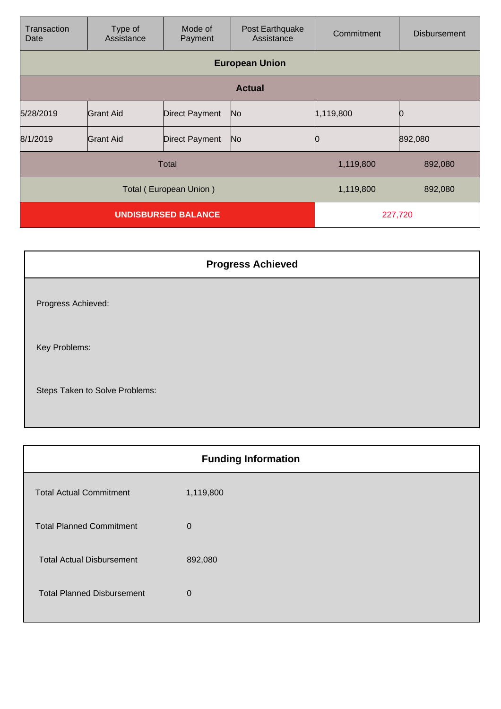| Transaction<br>Date        | Type of<br>Assistance                          | Mode of<br>Payment    | Post Earthquake<br>Assistance | Commitment | <b>Disbursement</b> |
|----------------------------|------------------------------------------------|-----------------------|-------------------------------|------------|---------------------|
|                            |                                                |                       | <b>European Union</b>         |            |                     |
|                            |                                                |                       | <b>Actual</b>                 |            |                     |
| 5/28/2019                  | Grant Aid                                      | <b>Direct Payment</b> | No                            | 1,119,800  |                     |
| 8/1/2019                   | Grant Aid                                      | Direct Payment        | No                            | 10         | 892,080             |
|                            | <b>Total</b><br>1,119,800<br>892,080           |                       |                               |            |                     |
|                            | Total (European Union)<br>1,119,800<br>892,080 |                       |                               |            |                     |
| <b>UNDISBURSED BALANCE</b> |                                                |                       | 227,720                       |            |                     |

| <b>Progress Achieved</b>       |  |
|--------------------------------|--|
| Progress Achieved:             |  |
| Key Problems:                  |  |
| Steps Taken to Solve Problems: |  |

| <b>Funding Information</b>        |             |  |
|-----------------------------------|-------------|--|
| <b>Total Actual Commitment</b>    | 1,119,800   |  |
| <b>Total Planned Commitment</b>   | $\mathbf 0$ |  |
| <b>Total Actual Disbursement</b>  | 892,080     |  |
| <b>Total Planned Disbursement</b> | $\mathbf 0$ |  |
|                                   |             |  |